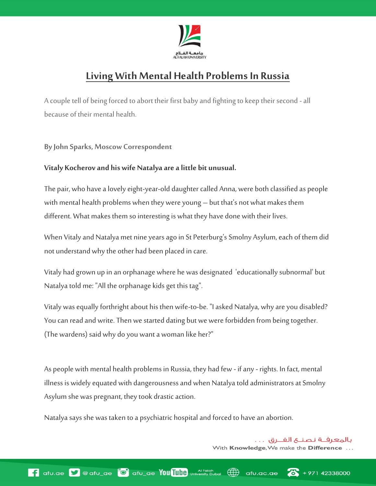

## **Living With Mental Health Problems In Russia**

A couple tell of being forced to abort their first baby and fighting to keep their second -all because of their mental health.

**By John Sparks, Moscow Correspondent**

## **Vitaly Kocherov and his wife Natalya are a little bit unusual.**

The pair, who have a lovely eight-year-old daughter called Anna, were both classified as people with mental health problems when they were young – but that's not what makes them different. What makes them so interesting is what they have done with their lives.

When Vitaly and Natalya met nine years ago in St Peterburg's Smolny Asylum, each of them did not understand why the other had been placed in care.

Vitaly had grown up in an orphanage where he was designated 'educationally subnormal' but Natalya told me: "All the orphanage kids get this tag".

Vitaly was equally forthright about his then wife-to-be. "I asked Natalya, why are you disabled? You can read and write. Then we started dating but we were forbidden from being together. (The wardens) said why do you want a woman like her?"

As people with mental health problems in Russia, they had few - if any - rights. In fact, mental illness is widely equated with dangerousness and when Natalya told administrators at Smolny Asylum she was pregnant, they took drastic action.

Natalya says she was taken to a psychiatric hospital and forced to have an abortion.

بالمعرفــة نصنــع الفــرق . . . With Knowledge, We make the Difference ...

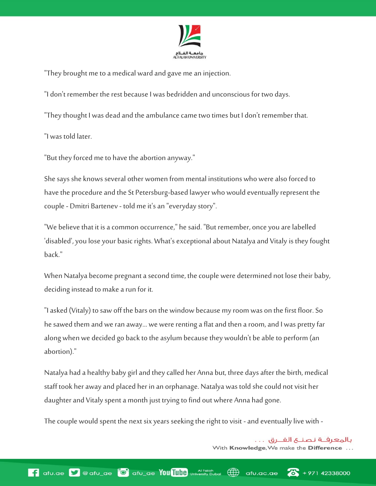

"They brought me to a medical ward and gave me an injection.

"I don't remember the rest because I was bedridden and unconscious for two days.

"They thought I was dead and the ambulance came two times but I don't remember that.

"I was told later.

"But they forced me to have the abortion anyway."

She says she knows several other women from mental institutions who were also forced to have the procedure and the St Petersburg-based lawyer who would eventually represent the couple - Dmitri Bartenev - told me it's an "everyday story".

"We believe that it is a common occurrence," he said. "But remember, once you are labelled 'disabled', you lose your basic rights. What's exceptional about Natalya and Vitaly is they fought back."

When Natalya become pregnant a second time, the couple were determined not lose their baby, deciding instead to make a run for it.

"I asked (Vitaly) to saw off the bars on the window because my room was on the first floor. So he sawed them and we ran away... we were renting a flat and then a room, and I was pretty far along when we decided go back to the asylum because they wouldn't be able to perform (an abortion)."

Natalya had a healthy baby girl and they called her Anna but, three days after the birth, medical staff took her away and placed her in an orphanage. Natalya was told she could not visit her daughter and Vitaly spent a month just trying to find out where Anna had gone.

The couple would spent the next six years seeking the right to visit - and eventually live with -

بالمعرفــة نصنــع الفــرق . . . With Knowledge, We make the Difference ...